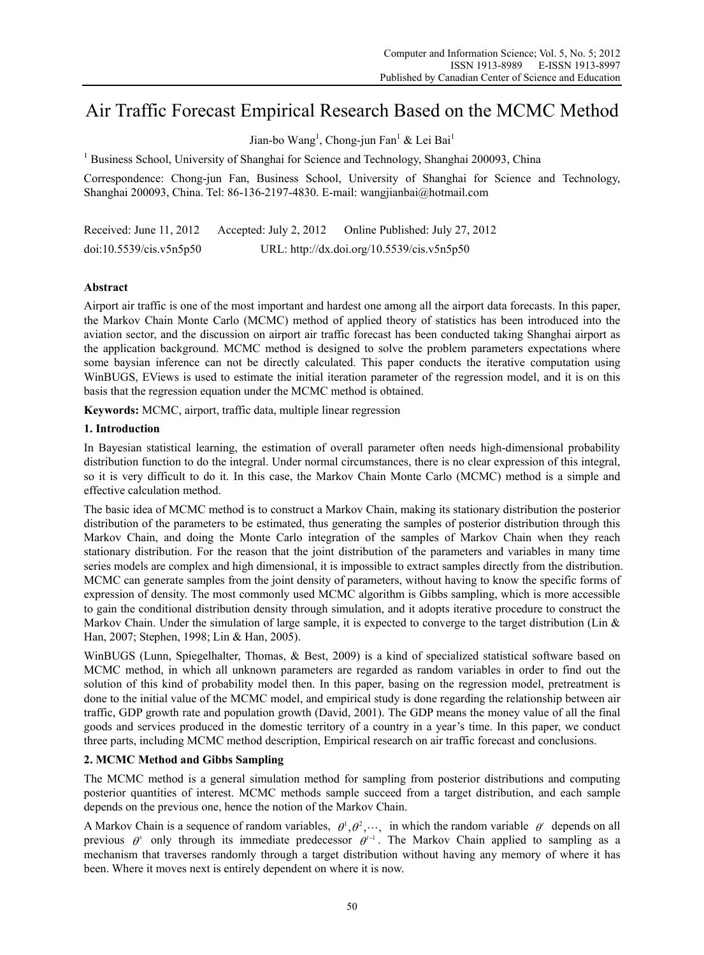# Air Traffic Forecast Empirical Research Based on the MCMC Method

Jian-bo Wang<sup>1</sup>, Chong-jun Fan<sup>1</sup> & Lei Bai<sup>1</sup>

<sup>1</sup> Business School, University of Shanghai for Science and Technology, Shanghai 200093, China

Correspondence: Chong-jun Fan, Business School, University of Shanghai for Science and Technology, Shanghai 200093, China. Tel: 86-136-2197-4830. E-mail: wangjianbai@hotmail.com

Received: June 11, 2012 Accepted: July 2, 2012 Online Published: July 27, 2012 doi:10.5539/cis.v5n5p50 URL: http://dx.doi.org/10.5539/cis.v5n5p50

# **Abstract**

Airport air traffic is one of the most important and hardest one among all the airport data forecasts. In this paper, the Markov Chain Monte Carlo (MCMC) method of applied theory of statistics has been introduced into the aviation sector, and the discussion on airport air traffic forecast has been conducted taking Shanghai airport as the application background. MCMC method is designed to solve the problem parameters expectations where some baysian inference can not be directly calculated. This paper conducts the iterative computation using WinBUGS, EViews is used to estimate the initial iteration parameter of the regression model, and it is on this basis that the regression equation under the MCMC method is obtained.

**Keywords:** MCMC, airport, traffic data, multiple linear regression

## **1. Introduction**

In Bayesian statistical learning, the estimation of overall parameter often needs high-dimensional probability distribution function to do the integral. Under normal circumstances, there is no clear expression of this integral, so it is very difficult to do it. In this case, the Markov Chain Monte Carlo (MCMC) method is a simple and effective calculation method.

The basic idea of MCMC method is to construct a Markov Chain, making its stationary distribution the posterior distribution of the parameters to be estimated, thus generating the samples of posterior distribution through this Markov Chain, and doing the Monte Carlo integration of the samples of Markov Chain when they reach stationary distribution. For the reason that the joint distribution of the parameters and variables in many time series models are complex and high dimensional, it is impossible to extract samples directly from the distribution. MCMC can generate samples from the joint density of parameters, without having to know the specific forms of expression of density. The most commonly used MCMC algorithm is Gibbs sampling, which is more accessible to gain the conditional distribution density through simulation, and it adopts iterative procedure to construct the Markov Chain. Under the simulation of large sample, it is expected to converge to the target distribution (Lin  $\&$ Han, 2007; Stephen, 1998; Lin & Han, 2005).

WinBUGS (Lunn, Spiegelhalter, Thomas, & Best, 2009) is a kind of specialized statistical software based on MCMC method, in which all unknown parameters are regarded as random variables in order to find out the solution of this kind of probability model then. In this paper, basing on the regression model, pretreatment is done to the initial value of the MCMC model, and empirical study is done regarding the relationship between air traffic, GDP growth rate and population growth (David, 2001). The GDP means the money value of all the final goods and services produced in the domestic territory of a country in a year's time. In this paper, we conduct three parts, including MCMC method description, Empirical research on air traffic forecast and conclusions.

## **2. MCMC Method and Gibbs Sampling**

The MCMC method is a general simulation method for sampling from posterior distributions and computing posterior quantities of interest. MCMC methods sample succeed from a target distribution, and each sample depends on the previous one, hence the notion of the Markov Chain.

A Markov Chain is a sequence of random variables,  $\theta^1$ ,  $\theta^2$ ,  $\cdots$ , in which the random variable  $\theta^i$  depends on all previous  $\theta^s$  only through its immediate predecessor  $\theta^{t-1}$ . The Markov Chain applied to sampling as a mechanism that traverses randomly through a target distribution without having any memory of where it has been. Where it moves next is entirely dependent on where it is now.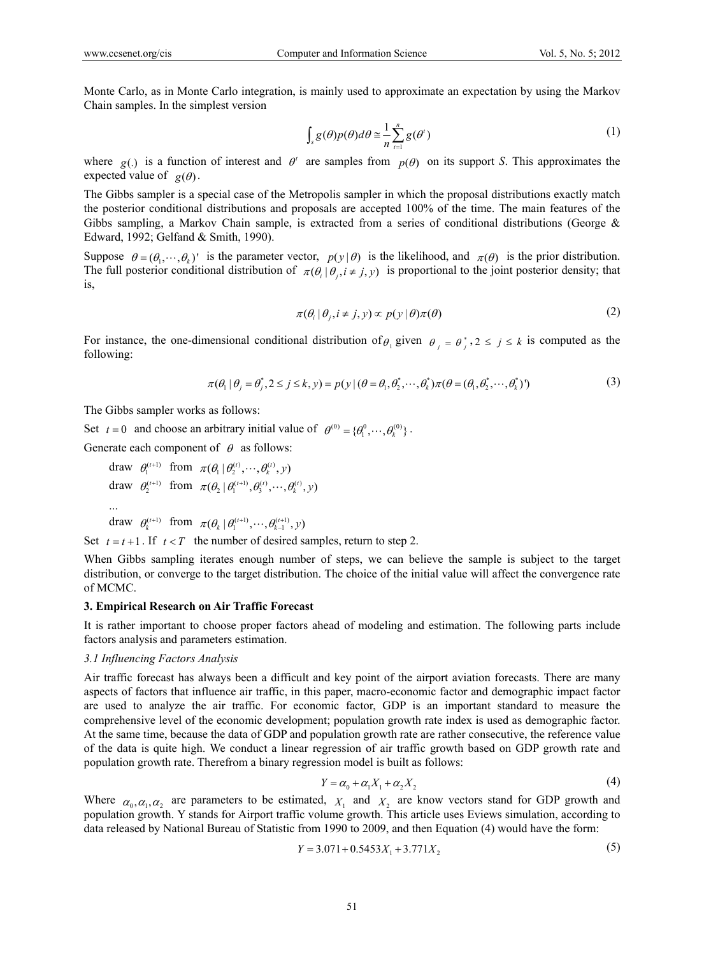Monte Carlo, as in Monte Carlo integration, is mainly used to approximate an expectation by using the Markov Chain samples. In the simplest version

$$
\int_{s} g(\theta) p(\theta) d\theta \approx \frac{1}{n} \sum_{t=1}^{n} g(\theta^{t})
$$
\n(1)

where  $g(j)$  is a function of interest and  $\theta^i$  are samples from  $p(\theta)$  on its support *S*. This approximates the expected value of  $g(\theta)$ .

The Gibbs sampler is a special case of the Metropolis sampler in which the proposal distributions exactly match the posterior conditional distributions and proposals are accepted 100% of the time. The main features of the Gibbs sampling, a Markov Chain sample, is extracted from a series of conditional distributions (George & Edward, 1992; Gelfand & Smith, 1990).

Suppose  $\theta = (\theta_1, \dots, \theta_k)$  is the parameter vector,  $p(y|\theta)$  is the likelihood, and  $\pi(\theta)$  is the prior distribution. The full posterior conditional distribution of  $\pi(\theta, |\theta_i, i \neq j, y)$  is proportional to the joint posterior density; that is,

$$
\pi(\theta_i \mid \theta_j, i \neq j, y) \propto p(y \mid \theta) \pi(\theta) \tag{2}
$$

For instance, the one-dimensional conditional distribution of  $\theta_i$  given  $\theta_i = \theta_i^*$ ,  $2 \le j \le k$  is computed as the following:

$$
\pi(\theta_1 | \theta_j = \theta_j^*, 2 \le j \le k, y) = p(y | (\theta = \theta_1, \theta_2^*, \cdots, \theta_k^*) \pi(\theta = (\theta_1, \theta_2^*, \cdots, \theta_k^*))
$$
(3)

The Gibbs sampler works as follows:

Set  $t = 0$  and choose an arbitrary initial value of  $\theta^{(0)} = {\theta_1^{(0)}, \dots, \theta_k^{(0)}}$ .

Generate each component of  $\theta$  as follows:

draw 
$$
\theta_1^{(t+1)}
$$
 from  $\pi(\theta_1 | \theta_2^{(t)}, \dots, \theta_k^{(t)}, y)$   
draw  $\theta_2^{(t+1)}$  from  $\pi(\theta_2 | \theta_1^{(t+1)}, \theta_3^{(t)}, \dots, \theta_k^{(t)}, y)$   
...

draw  $\theta_k^{(t+1)}$  from  $\pi(\theta_k | \theta_1^{(t+1)}, \dots, \theta_{k-1}^{(t+1)}, y)$ 

Set  $t = t + 1$ . If  $t < T$  the number of desired samples, return to step 2.

When Gibbs sampling iterates enough number of steps, we can believe the sample is subject to the target distribution, or converge to the target distribution. The choice of the initial value will affect the convergence rate of MCMC.

#### **3. Empirical Research on Air Traffic Forecast**

It is rather important to choose proper factors ahead of modeling and estimation. The following parts include factors analysis and parameters estimation.

## *3.1 Influencing Factors Analysis*

Air traffic forecast has always been a difficult and key point of the airport aviation forecasts. There are many aspects of factors that influence air traffic, in this paper, macro-economic factor and demographic impact factor are used to analyze the air traffic. For economic factor, GDP is an important standard to measure the comprehensive level of the economic development; population growth rate index is used as demographic factor. At the same time, because the data of GDP and population growth rate are rather consecutive, the reference value of the data is quite high. We conduct a linear regression of air traffic growth based on GDP growth rate and population growth rate. Therefrom a binary regression model is built as follows:

$$
Y = \alpha_0 + \alpha_1 X_1 + \alpha_2 X_2 \tag{4}
$$

Where  $\alpha_0, \alpha_1, \alpha_2$  are parameters to be estimated,  $X_1$  and  $X_2$  are know vectors stand for GDP growth and population growth. Y stands for Airport traffic volume growth. This article uses Eviews simulation, according to data released by National Bureau of Statistic from 1990 to 2009, and then Equation (4) would have the form:

$$
Y = 3.071 + 0.5453X_1 + 3.771X_2
$$
\n<sup>(5)</sup>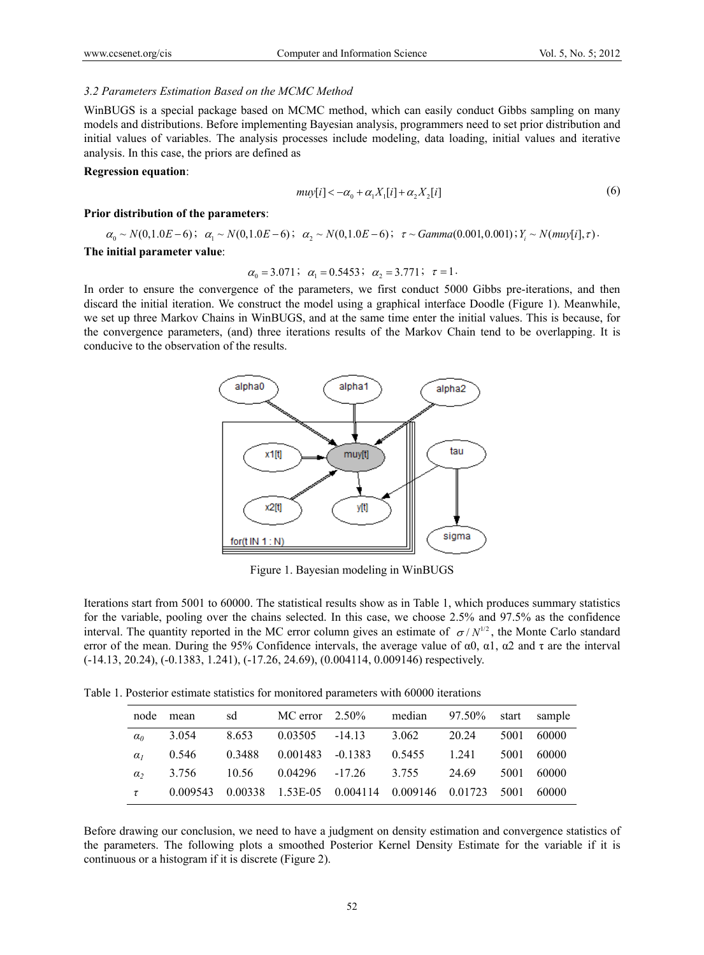#### *3.2 Parameters Estimation Based on the MCMC Method*

WinBUGS is a special package based on MCMC method, which can easily conduct Gibbs sampling on many models and distributions. Before implementing Bayesian analysis, programmers need to set prior distribution and initial values of variables. The analysis processes include modeling, data loading, initial values and iterative analysis. In this case, the priors are defined as

#### **Regression equation**:

$$
muy[i] < -\alpha_0 + \alpha_1 X_1[i] + \alpha_2 X_2[i] \tag{6}
$$

#### **Prior distribution of the parameters**:

 $\alpha_0 \sim N(0, 1.0E-6); \quad \alpha_1 \sim N(0, 1.0E-6); \quad \alpha_2 \sim N(0, 1.0E-6); \quad \tau \sim Gamma(0.001, 0.001); Y_i \sim N(mu)[i], \tau$ 

# **The initial parameter value**:

$$
\alpha_0 = 3.071
$$
;  $\alpha_1 = 0.5453$ ;  $\alpha_2 = 3.771$ ;  $\tau = 1$ .

In order to ensure the convergence of the parameters, we first conduct 5000 Gibbs pre-iterations, and then discard the initial iteration. We construct the model using a graphical interface Doodle (Figure 1). Meanwhile, we set up three Markov Chains in WinBUGS, and at the same time enter the initial values. This is because, for the convergence parameters, (and) three iterations results of the Markov Chain tend to be overlapping. It is conducive to the observation of the results.



Figure 1. Bayesian modeling in WinBUGS

Iterations start from 5001 to 60000. The statistical results show as in Table 1, which produces summary statistics for the variable, pooling over the chains selected. In this case, we choose 2.5% and 97.5% as the confidence interval. The quantity reported in the MC error column gives an estimate of  $\sigma/N^{1/2}$ , the Monte Carlo standard error of the mean. During the 95% Confidence intervals, the average value of  $\alpha$ 0,  $\alpha$ 1,  $\alpha$ 2 and  $\tau$  are the interval (-14.13, 20.24), (-0.1383, 1.241), (-17.26, 24.69), (0.004114, 0.009146) respectively.

Table 1. Posterior estimate statistics for monitored parameters with 60000 iterations

|            | node mean | sd     |                                                          | MC error $2.50\%$ | median 97.50% start sample |       |      |            |
|------------|-----------|--------|----------------------------------------------------------|-------------------|----------------------------|-------|------|------------|
| $\alpha_0$ | 3.054     | 8.653  | $0.03505 -14.13$                                         |                   | 3.062                      | 20.24 |      | 5001 60000 |
| $\alpha$   | 0.546     | 0.3488 | 0.001483 -0.1383                                         |                   | 0.5455                     | 1.241 | 5001 | 60000      |
| $\alpha$   | 3.756     |        | 10.56 0.04296 -17.26 3.755                               |                   |                            | 24.69 | 5001 | 60000      |
| $\tau$     |           |        | 0.009543 0.00338 1.53E-05 0.004114 0.009146 0.01723 5001 |                   |                            |       |      | -60000     |

Before drawing our conclusion, we need to have a judgment on density estimation and convergence statistics of the parameters. The following plots a smoothed Posterior Kernel Density Estimate for the variable if it is continuous or a histogram if it is discrete (Figure 2).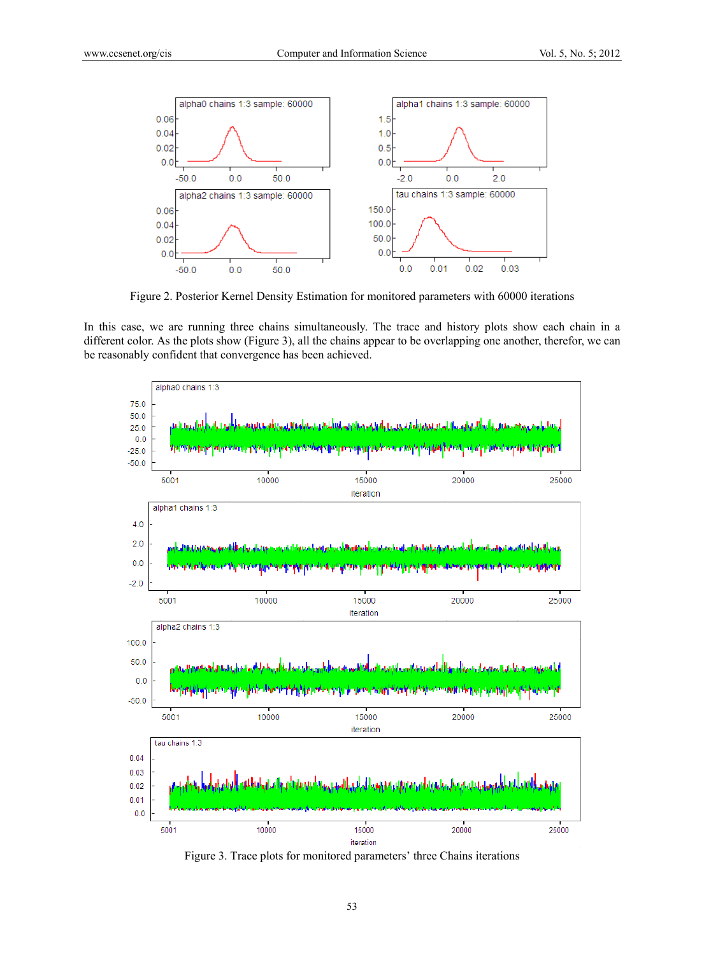

Figure 2. Posterior Kernel Density Estimation for monitored parameters with 60000 iterations

In this case, we are running three chains simultaneously. The trace and history plots show each chain in a different color. As the plots show (Figure 3), all the chains appear to be overlapping one another, therefor, we can be reasonably confident that convergence has been achieved.



Figure 3. Trace plots for monitored parameters' three Chains iterations